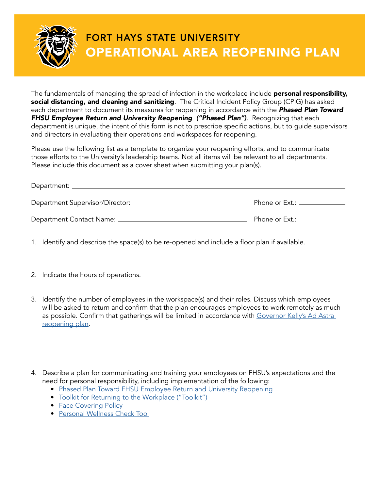

The fundamentals of managing the spread of infection in the workplace include personal responsibility, social distancing, and cleaning and sanitizing. The Critical Incident Policy Group (CPIG) has asked each department to document its measures for reopening in accordance with the *Phased Plan Toward*  **FHSU Employee Return and University Reopening ("Phased Plan")**. Recognizing that each department is unique, the intent of this form is not to prescribe specific actions, but to guide supervisors and directors in evaluating their operations and workspaces for reopening.

Please use the following list as a template to organize your reopening efforts, and to communicate those efforts to the University's leadership teams. Not all items will be relevant to all departments. Please include this document as a cover sheet when submitting your plan(s).

| Department: _____________________  |                               |
|------------------------------------|-------------------------------|
|                                    | Phone or Ext.: ______________ |
| Department Contact Name: _________ | Phone or Ext.: ____________   |

- 1. Identify and describe the space(s) to be re-opened and include a floor plan if available.
- 2. Indicate the hours of operations.
- 3. Identify the number of employees in the workspace(s) and their roles. Discuss which employees will be asked to return and confirm that the plan encourages employees to work remotely as much as possible. Confirm that gatherings will be limited in accordance with Governor Kelly's Ad Astra [reopening plan](https://covid.ks.gov/wp-content/uploads/2020/05/Reopen-Kansas-Framework-v7.pdf).
- 4. Describe a plan for communicating and training your employees on FHSU's expectations and the need for personal responsibility, including implementation of the following:
	- [Phased Plan Toward FHSU Employee Return and University Reopening](https://fhsu.edu/covid-19-response/documents/reopening-plan-phase3.pdf)
	- [Toolkit for Returning to the Workplace \("Toolkit"\)](https://fhsu.edu/covid-19-response/return-to-work/index.html)
	- [Face Covering Policy](https://fhsu.edu/covid-19-response/documents/reopening-plan-phase3.pdf)
	- [Personal Wellness Check Tool](https://fhsu.edu/covid-19-response/documents/personal-wellness-check.pdf)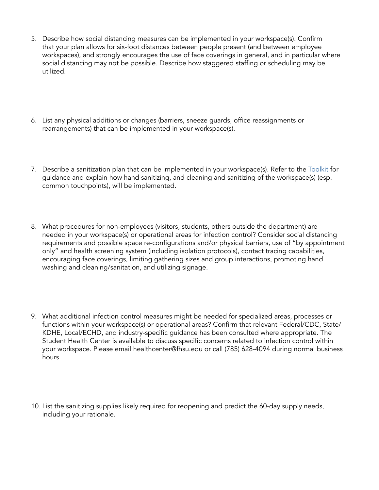- 5. Describe how social distancing measures can be implemented in your workspace(s). Confirm that your plan allows for six-foot distances between people present (and between employee workspaces), and strongly encourages the use of face coverings in general, and in particular where social distancing may not be possible. Describe how staggered staffing or scheduling may be utilized.
- 6. List any physical additions or changes (barriers, sneeze guards, office reassignments or rearrangements) that can be implemented in your workspace(s).
- 7. Describe a sanitization plan that can be implemented in your workspace(s). Refer to the **Toolkit** for guidance and explain how hand sanitizing, and cleaning and sanitizing of the workspace(s) (esp. common touchpoints), will be implemented.
- 8. What procedures for non-employees (visitors, students, others outside the department) are needed in your workspace(s) or operational areas for infection control? Consider social distancing requirements and possible space re-configurations and/or physical barriers, use of "by appointment only" and health screening system (including isolation protocols), contact tracing capabilities, encouraging face coverings, limiting gathering sizes and group interactions, promoting hand washing and cleaning/sanitation, and utilizing signage.
- 9. What additional infection control measures might be needed for specialized areas, processes or functions within your workspace(s) or operational areas? Confirm that relevant Federal/CDC, State/ KDHE, Local/ECHD, and industry-specific guidance has been consulted where appropriate. The Student Health Center is available to discuss specific concerns related to infection control within your workspace. Please email healthcenter@fhsu.edu or call (785) 628-4094 during normal business hours.
- 10. List the sanitizing supplies likely required for reopening and predict the 60-day supply needs, including your rationale.